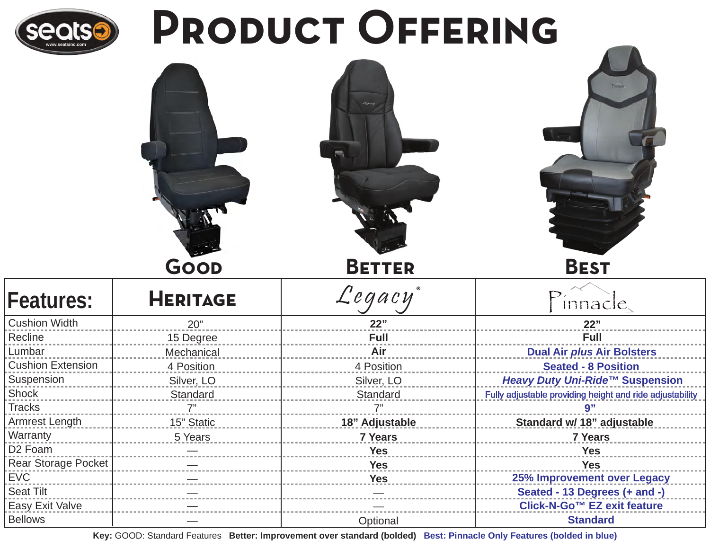

# PRODUCT OFFERING



| <b>Features:</b>           | <b>HERITAGE</b> | Legacy         | innacle,                                                 |
|----------------------------|-----------------|----------------|----------------------------------------------------------|
| <b>Cushion Width</b>       | 20"             | 22"            | 22"                                                      |
| Recline                    | 15 Degree       | <b>Full</b>    | <b>Full</b>                                              |
| Lumbar                     | Mechanical      | Air            | <b>Dual Air plus Air Bolsters</b>                        |
| <b>Cushion Extension</b>   | 4 Position      | 4 Position     | <b>Seated - 8 Position</b>                               |
| Suspension                 | Silver, LO      | Silver, LO     | Heavy Duty Uni-Ride™ Suspension                          |
| <b>Shock</b>               | Standard        | Standard       | Fully adjustable providing height and ride adjustability |
| <b>Tracks</b>              | 7"              | 7"             | 9"                                                       |
| Armrest Length             | 15" Static      | 18" Adjustable | Standard w/ 18" adjustable                               |
| Warranty                   | 5 Years         | <b>7 Years</b> | <b>7 Years</b>                                           |
| D <sub>2</sub> Foam        |                 | <b>Yes</b>     | <b>Yes</b>                                               |
| <b>Rear Storage Pocket</b> |                 | <b>Yes</b>     | <b>Yes</b>                                               |
| <b>EVC</b>                 |                 | <b>Yes</b>     | 25% Improvement over Legacy                              |
| <b>Seat Tilt</b>           |                 |                | Seated - 13 Degrees (+ and -)                            |
| Easy Exit Valve            |                 |                | Click-N-Go™ EZ exit feature                              |
| <b>Bellows</b>             |                 | Optional       | <b>Standard</b>                                          |

**Key:** GOOD: Standard Features **Better: Improvement over standard (bolded) Best: Pinnacle Only Features (bolded in blue)**